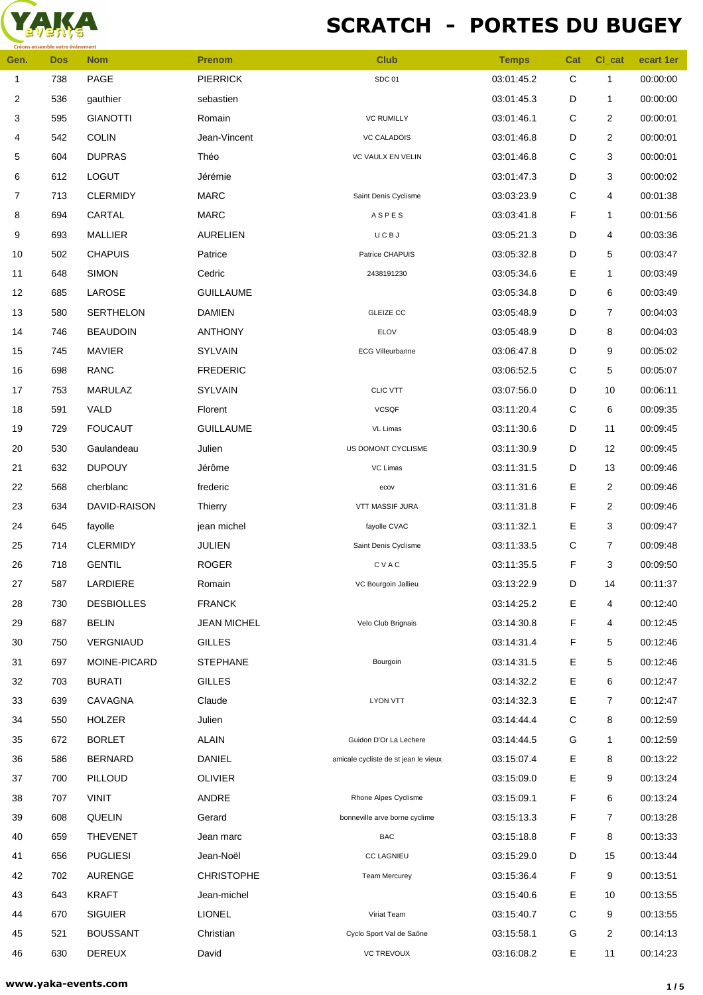

## **SCRATCH - PORTES DU BUGEY**

| Gen.         | <b>Dos</b> | <b>Nom</b>        | <b>Prenom</b>      | <b>Club</b>                          | <b>Temps</b> | Cat         | CI_cat         | ecart 1er |
|--------------|------------|-------------------|--------------------|--------------------------------------|--------------|-------------|----------------|-----------|
| $\mathbf{1}$ | 738        | PAGE              | <b>PIERRICK</b>    | SDC 01                               | 03:01:45.2   | $\mathbf C$ | $\mathbf{1}$   | 00:00:00  |
| 2            | 536        | gauthier          | sebastien          |                                      | 03:01:45.3   | D           | $\mathbf{1}$   | 00:00:00  |
| 3            | 595        | <b>GIANOTTI</b>   | Romain             | <b>VC RUMILLY</b>                    | 03:01:46.1   | С           | $\overline{2}$ | 00:00:01  |
| 4            | 542        | <b>COLIN</b>      | Jean-Vincent       | <b>VC CALADOIS</b>                   | 03:01:46.8   | D           | $\overline{c}$ | 00:00:01  |
| 5            | 604        | <b>DUPRAS</b>     | Théo               | VC VAULX EN VELIN                    | 03:01:46.8   | C           | 3              | 00:00:01  |
| 6            | 612        | LOGUT             | Jérémie            |                                      | 03:01:47.3   | D           | 3              | 00:00:02  |
| 7            | 713        | <b>CLERMIDY</b>   | <b>MARC</b>        | Saint Denis Cyclisme                 | 03:03:23.9   | С           | 4              | 00:01:38  |
| 8            | 694        | CARTAL            | <b>MARC</b>        | ASPES                                | 03:03:41.8   | F           | $\mathbf{1}$   | 00:01:56  |
| 9            | 693        | <b>MALLIER</b>    | <b>AURELIEN</b>    | UCBJ                                 | 03:05:21.3   | D           | 4              | 00:03:36  |
| 10           | 502        | <b>CHAPUIS</b>    | Patrice            | Patrice CHAPUIS                      | 03:05:32.8   | D           | 5              | 00:03:47  |
| 11           | 648        | <b>SIMON</b>      | Cedric             | 2438191230                           | 03:05:34.6   | Е           | 1              | 00:03:49  |
| 12           | 685        | LAROSE            | <b>GUILLAUME</b>   |                                      | 03:05:34.8   | D           | 6              | 00:03:49  |
| 13           | 580        | <b>SERTHELON</b>  | <b>DAMIEN</b>      | <b>GLEIZE CC</b>                     | 03:05:48.9   | D           | 7              | 00:04:03  |
| 14           | 746        | <b>BEAUDOIN</b>   | <b>ANTHONY</b>     | ELOV                                 | 03:05:48.9   | D           | 8              | 00:04:03  |
| 15           | 745        | <b>MAVIER</b>     | <b>SYLVAIN</b>     | <b>ECG Villeurbanne</b>              | 03:06:47.8   | D           | 9              | 00:05:02  |
| $16\,$       | 698        | <b>RANC</b>       | <b>FREDERIC</b>    |                                      | 03:06:52.5   | $\mathsf C$ | 5              | 00:05:07  |
| 17           | 753        | <b>MARULAZ</b>    | <b>SYLVAIN</b>     | <b>CLIC VTT</b>                      | 03:07:56.0   | D           | 10             | 00:06:11  |
| $18$         | 591        | VALD              | Florent            | <b>VCSQF</b>                         | 03:11:20.4   | С           | 6              | 00:09:35  |
| 19           | 729        | <b>FOUCAUT</b>    | <b>GUILLAUME</b>   | VL Limas                             | 03:11:30.6   | D           | 11             | 00:09:45  |
| 20           | 530        | Gaulandeau        | Julien             | US DOMONT CYCLISME                   | 03:11:30.9   | D           | 12             | 00:09:45  |
| 21           | 632        | <b>DUPOUY</b>     | Jérôme             | VC Limas                             | 03:11:31.5   | D           | 13             | 00:09:46  |
| 22           | 568        | cherblanc         | frederic           | ecov                                 | 03:11:31.6   | Е           | $\overline{2}$ | 00:09:46  |
| 23           | 634        | DAVID-RAISON      | Thierry            | VTT MASSIF JURA                      | 03:11:31.8   | F           | $\overline{2}$ | 00:09:46  |
| 24           | 645        | fayolle           | jean michel        | fayolle CVAC                         | 03:11:32.1   | Е           | 3              | 00:09:47  |
| 25           | 714        | <b>CLERMIDY</b>   | <b>JULIEN</b>      | Saint Denis Cyclisme                 | 03:11:33.5   | С           | $\overline{7}$ | 00:09:48  |
| 26           | 718        | <b>GENTIL</b>     | <b>ROGER</b>       | CVAC                                 | 03:11:35.5   | F           | 3              | 00:09:50  |
| 27           | 587        | LARDIERE          | Romain             | VC Bourgoin Jallieu                  | 03:13:22.9   | D           | 14             | 00:11:37  |
| 28           | 730        | <b>DESBIOLLES</b> | <b>FRANCK</b>      |                                      | 03:14:25.2   | Е           | 4              | 00:12:40  |
| 29           | 687        | <b>BELIN</b>      | <b>JEAN MICHEL</b> | Velo Club Brignais                   | 03:14:30.8   | F           | 4              | 00:12:45  |
| 30           | 750        | VERGNIAUD         | <b>GILLES</b>      |                                      | 03:14:31.4   | F           | 5              | 00:12:46  |
| 31           | 697        | MOINE-PICARD      | <b>STEPHANE</b>    | Bourgoin                             | 03:14:31.5   | Е           | 5              | 00:12:46  |
| 32           | 703        | <b>BURATI</b>     | <b>GILLES</b>      |                                      | 03:14:32.2   | Е           | 6              | 00:12:47  |
| 33           | 639        | CAVAGNA           | Claude             | LYON VTT                             | 03:14:32.3   | Е           | 7              | 00:12:47  |
| 34           | 550        | <b>HOLZER</b>     | Julien             |                                      | 03:14:44.4   | С           | 8              | 00:12:59  |
| 35           | 672        | <b>BORLET</b>     | <b>ALAIN</b>       | Guidon D'Or La Lechere               | 03:14:44.5   | G           | 1              | 00:12:59  |
| 36           | 586        | <b>BERNARD</b>    | <b>DANIEL</b>      | amicale cycliste de st jean le vieux | 03:15:07.4   | Ε           | 8              | 00:13:22  |
| 37           | 700        | PILLOUD           | <b>OLIVIER</b>     |                                      | 03:15:09.0   | Е           | 9              | 00:13:24  |
| 38           | 707        | <b>VINIT</b>      | ANDRE              | Rhone Alpes Cyclisme                 | 03:15:09.1   | F           | 6              | 00:13:24  |
| 39           | 608        | QUELIN            | Gerard             | bonneville arve borne cyclime        | 03:15:13.3   | F           | 7              | 00:13:28  |
| 40           | 659        | <b>THEVENET</b>   | Jean marc          | <b>BAC</b>                           | 03:15:18.8   | F           | 8              | 00:13:33  |
| 41           | 656        | <b>PUGLIESI</b>   | Jean-Noël          | <b>CC LAGNIEU</b>                    | 03:15:29.0   | D           | 15             | 00:13:44  |
| 42           | 702        | <b>AURENGE</b>    | <b>CHRISTOPHE</b>  | <b>Team Mercurey</b>                 | 03:15:36.4   | F           | 9              | 00:13:51  |
| 43           | 643        | <b>KRAFT</b>      | Jean-michel        |                                      | 03:15:40.6   | Е           | 10             | 00:13:55  |
| 44           | 670        | <b>SIGUIER</b>    | <b>LIONEL</b>      | Viriat Team                          | 03:15:40.7   | С           | 9              | 00:13:55  |
| 45           | 521        | <b>BOUSSANT</b>   | Christian          | Cyclo Sport Val de Saône             | 03:15:58.1   | G           | 2              | 00:14:13  |
| 46           | 630        | DEREUX            | David              | <b>VC TREVOUX</b>                    | 03:16:08.2   | Е           | 11             | 00:14:23  |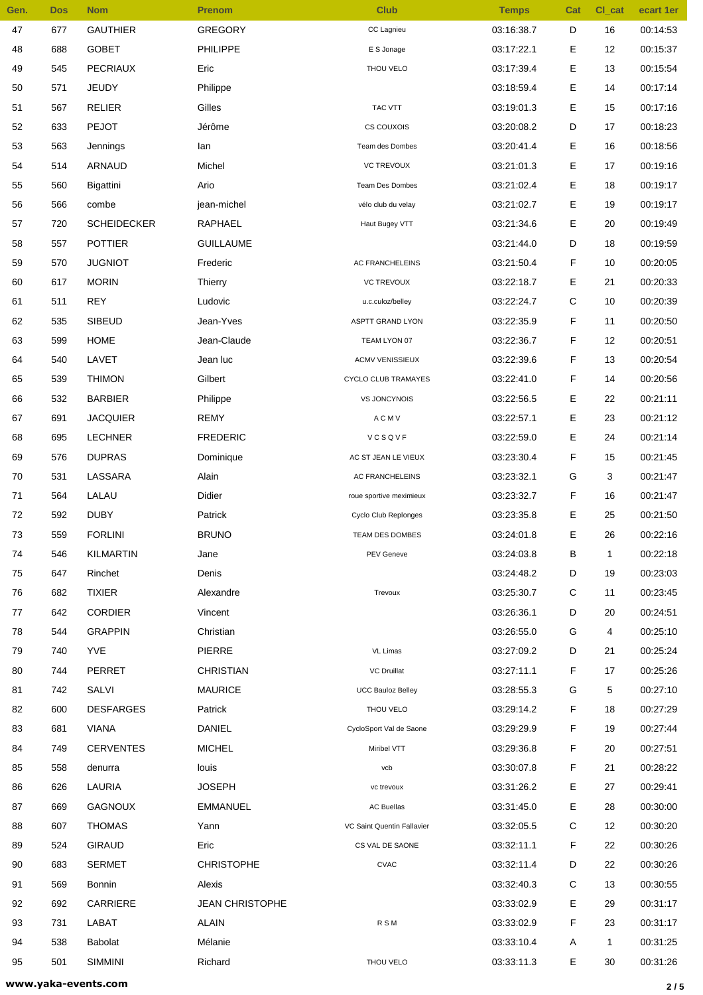| Gen. | <b>Dos</b> | <b>Nom</b>         | <b>Prenom</b>          | <b>Club</b>                | <b>Temps</b> | Cat | CI_cat       | ecart 1er |
|------|------------|--------------------|------------------------|----------------------------|--------------|-----|--------------|-----------|
| 47   | 677        | <b>GAUTHIER</b>    | <b>GREGORY</b>         | CC Lagnieu                 | 03:16:38.7   | D   | 16           | 00:14:53  |
| 48   | 688        | <b>GOBET</b>       | PHILIPPE               | E S Jonage                 | 03:17:22.1   | Ε   | 12           | 00:15:37  |
| 49   | 545        | <b>PECRIAUX</b>    | Eric                   | THOU VELO                  | 03:17:39.4   | Ε   | 13           | 00:15:54  |
| 50   | 571        | <b>JEUDY</b>       | Philippe               |                            | 03:18:59.4   | Ε   | 14           | 00:17:14  |
| 51   | 567        | <b>RELIER</b>      | Gilles                 | TAC VTT                    | 03:19:01.3   | Е   | 15           | 00:17:16  |
| 52   | 633        | <b>PEJOT</b>       | Jérôme                 | CS COUXOIS                 | 03:20:08.2   | D   | 17           | 00:18:23  |
| 53   | 563        | Jennings           | lan                    | Team des Dombes            | 03:20:41.4   | Ε   | 16           | 00:18:56  |
| 54   | 514        | ARNAUD             | Michel                 | <b>VC TREVOUX</b>          | 03:21:01.3   | Ε   | 17           | 00:19:16  |
| 55   | 560        | Bigattini          | Ario                   | Team Des Dombes            | 03:21:02.4   | Е   | 18           | 00:19:17  |
| 56   | 566        | combe              | jean-michel            | vélo club du velay         | 03:21:02.7   | Ε   | 19           | 00:19:17  |
| 57   | 720        | <b>SCHEIDECKER</b> | RAPHAEL                | Haut Bugey VTT             | 03:21:34.6   | Ε   | 20           | 00:19:49  |
| 58   | 557        | <b>POTTIER</b>     | <b>GUILLAUME</b>       |                            | 03:21:44.0   | D   | 18           | 00:19:59  |
| 59   | 570        | <b>JUGNIOT</b>     | Frederic               | <b>AC FRANCHELEINS</b>     | 03:21:50.4   | F   | 10           | 00:20:05  |
| 60   | 617        | <b>MORIN</b>       | Thierry                | <b>VC TREVOUX</b>          | 03:22:18.7   | Ε   | 21           | 00:20:33  |
| 61   | 511        | <b>REY</b>         | Ludovic                | u.c.culoz/belley           | 03:22:24.7   | С   | 10           | 00:20:39  |
| 62   | 535        | <b>SIBEUD</b>      | Jean-Yves              | <b>ASPTT GRAND LYON</b>    | 03:22:35.9   | F   | 11           | 00:20:50  |
| 63   | 599        | <b>HOME</b>        | Jean-Claude            | TEAM LYON 07               | 03:22:36.7   | F   | 12           | 00:20:51  |
| 64   | 540        | LAVET              | Jean luc               | <b>ACMV VENISSIEUX</b>     | 03:22:39.6   | F   | 13           | 00:20:54  |
| 65   | 539        | <b>THIMON</b>      | Gilbert                | CYCLO CLUB TRAMAYES        | 03:22:41.0   | F   | 14           | 00:20:56  |
| 66   | 532        | <b>BARBIER</b>     | Philippe               | <b>VS JONCYNOIS</b>        | 03:22:56.5   | Е   | 22           | 00:21:11  |
| 67   | 691        | <b>JACQUIER</b>    | <b>REMY</b>            | <b>ACMV</b>                | 03:22:57.1   | Ε   | 23           | 00:21:12  |
| 68   | 695        | <b>LECHNER</b>     | <b>FREDERIC</b>        | VCSQVF                     | 03:22:59.0   | Ε   | 24           | 00:21:14  |
| 69   | 576        | <b>DUPRAS</b>      | Dominique              | AC ST JEAN LE VIEUX        | 03:23:30.4   | F   | 15           | 00:21:45  |
| 70   | 531        | LASSARA            | Alain                  | AC FRANCHELEINS            | 03:23:32.1   | G   | 3            | 00:21:47  |
| 71   | 564        | LALAU              | Didier                 | roue sportive meximieux    | 03:23:32.7   | F   | 16           | 00:21:47  |
| 72   | 592        | <b>DUBY</b>        | Patrick                | Cyclo Club Replonges       | 03:23:35.8   | E   | 25           | 00:21:50  |
| 73   | 559        | <b>FORLINI</b>     | <b>BRUNO</b>           | TEAM DES DOMBES            | 03:24:01.8   | Е   | 26           | 00:22:16  |
| 74   | 546        | <b>KILMARTIN</b>   | Jane                   | PEV Geneve                 | 03:24:03.8   | В   | $\mathbf{1}$ | 00:22:18  |
| 75   | 647        | Rinchet            | Denis                  |                            | 03:24:48.2   | D   | 19           | 00:23:03  |
| 76   | 682        | <b>TIXIER</b>      | Alexandre              | Trevoux                    | 03:25:30.7   | C   | 11           | 00:23:45  |
| 77   | 642        | <b>CORDIER</b>     | Vincent                |                            | 03:26:36.1   | D   | 20           | 00:24:51  |
| 78   | 544        | <b>GRAPPIN</b>     | Christian              |                            | 03:26:55.0   | G   | 4            | 00:25:10  |
| 79   | 740        | <b>YVE</b>         | PIERRE                 | VL Limas                   | 03:27:09.2   | D   | 21           | 00:25:24  |
| 80   | 744        | PERRET             | <b>CHRISTIAN</b>       | <b>VC Druillat</b>         | 03:27:11.1   | F   | 17           | 00:25:26  |
| 81   | 742        | SALVI              | <b>MAURICE</b>         | <b>UCC Bauloz Belley</b>   | 03:28:55.3   | G   | 5            | 00:27:10  |
| 82   | 600        | <b>DESFARGES</b>   | Patrick                | THOU VELO                  | 03:29:14.2   | F   | 18           | 00:27:29  |
| 83   | 681        | <b>VIANA</b>       | <b>DANIEL</b>          | CycloSport Val de Saone    | 03:29:29.9   | F   | 19           | 00:27:44  |
| 84   | 749        | <b>CERVENTES</b>   | <b>MICHEL</b>          | Miribel VTT                | 03:29:36.8   | F   | 20           | 00:27:51  |
| 85   | 558        | denurra            | louis                  | vcb                        | 03:30:07.8   | F   | 21           | 00:28:22  |
| 86   | 626        | LAURIA             | <b>JOSEPH</b>          | vc trevoux                 | 03:31:26.2   | Ε   | 27           | 00:29:41  |
| 87   | 669        | <b>GAGNOUX</b>     | <b>EMMANUEL</b>        | <b>AC Buellas</b>          | 03:31:45.0   | Ε   | 28           | 00:30:00  |
| 88   | 607        | <b>THOMAS</b>      | Yann                   | VC Saint Quentin Fallavier | 03:32:05.5   | С   | 12           | 00:30:20  |
| 89   | 524        | <b>GIRAUD</b>      | Eric                   | CS VAL DE SAONE            | 03:32:11.1   | F   | 22           | 00:30:26  |
| 90   | 683        | <b>SERMET</b>      | <b>CHRISTOPHE</b>      | <b>CVAC</b>                | 03:32:11.4   | D   | 22           | 00:30:26  |
| 91   | 569        | <b>Bonnin</b>      | Alexis                 |                            | 03:32:40.3   | С   | 13           | 00:30:55  |
| 92   | 692        | CARRIERE           | <b>JEAN CHRISTOPHE</b> |                            | 03:33:02.9   | Ε   | 29           | 00:31:17  |
| 93   | 731        | LABAT              | <b>ALAIN</b>           |                            | 03:33:02.9   | F   | 23           | 00:31:17  |
|      |            |                    |                        | <b>RSM</b>                 |              |     |              |           |
| 94   | 538        | Babolat            | Mélanie                |                            | 03:33:10.4   | Α   | 1            | 00:31:25  |
| 95   | 501        | <b>SIMMINI</b>     | Richard                | THOU VELO                  | 03:33:11.3   | Е   | 30           | 00:31:26  |

**www.yaka-events.com 2 / 5**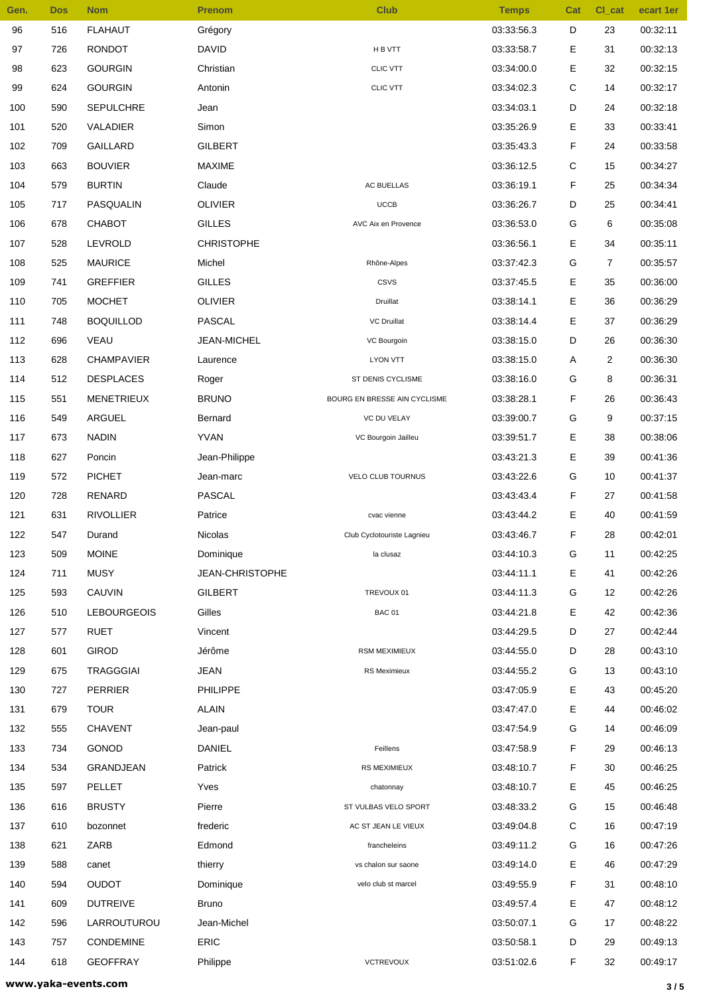| Gen. | <b>Dos</b> | <b>Nom</b>         | <b>Prenom</b>     | <b>Club</b>                  | <b>Temps</b> | Cat | CI_cat         | ecart 1er |
|------|------------|--------------------|-------------------|------------------------------|--------------|-----|----------------|-----------|
| 96   | 516        | <b>FLAHAUT</b>     | Grégory           |                              | 03:33:56.3   | D   | 23             | 00:32:11  |
| 97   | 726        | <b>RONDOT</b>      | <b>DAVID</b>      | H B VTT                      | 03:33:58.7   | Е   | 31             | 00:32:13  |
| 98   | 623        | <b>GOURGIN</b>     | Christian         | <b>CLIC VTT</b>              | 03:34:00.0   | Е   | 32             | 00:32:15  |
| 99   | 624        | <b>GOURGIN</b>     | Antonin           | <b>CLIC VTT</b>              | 03:34:02.3   | С   | 14             | 00:32:17  |
| 100  | 590        | <b>SEPULCHRE</b>   | Jean              |                              | 03:34:03.1   | D   | 24             | 00:32:18  |
| 101  | 520        | VALADIER           | Simon             |                              | 03:35:26.9   | Е   | 33             | 00:33:41  |
| 102  | 709        | <b>GAILLARD</b>    | <b>GILBERT</b>    |                              | 03:35:43.3   | F   | 24             | 00:33:58  |
| 103  | 663        | <b>BOUVIER</b>     | <b>MAXIME</b>     |                              | 03:36:12.5   | C   | 15             | 00:34:27  |
| 104  | 579        | <b>BURTIN</b>      | Claude            | AC BUELLAS                   | 03:36:19.1   | F   | 25             | 00:34:34  |
| 105  | 717        | PASQUALIN          | <b>OLIVIER</b>    | <b>UCCB</b>                  | 03:36:26.7   | D   | 25             | 00:34:41  |
| 106  | 678        | <b>CHABOT</b>      | <b>GILLES</b>     | AVC Aix en Provence          | 03:36:53.0   | G   | 6              | 00:35:08  |
| 107  | 528        | LEVROLD            | <b>CHRISTOPHE</b> |                              | 03:36:56.1   | Е   | 34             | 00:35:11  |
| 108  | 525        | <b>MAURICE</b>     | Michel            | Rhône-Alpes                  | 03:37:42.3   | G   | $\overline{7}$ | 00:35:57  |
| 109  | 741        | <b>GREFFIER</b>    | <b>GILLES</b>     | <b>CSVS</b>                  | 03:37:45.5   | Е   | 35             | 00:36:00  |
| 110  | 705        | <b>MOCHET</b>      | <b>OLIVIER</b>    | Druillat                     | 03:38:14.1   | Е   | 36             | 00:36:29  |
| 111  | 748        | <b>BOQUILLOD</b>   | <b>PASCAL</b>     | <b>VC Druillat</b>           | 03:38:14.4   | Е   | 37             | 00:36:29  |
| 112  | 696        | <b>VEAU</b>        | JEAN-MICHEL       | VC Bourgoin                  | 03:38:15.0   | D   | 26             | 00:36:30  |
| 113  | 628        | <b>CHAMPAVIER</b>  | Laurence          | LYON VTT                     | 03:38:15.0   | Α   | $\overline{2}$ | 00:36:30  |
| 114  | 512        | <b>DESPLACES</b>   | Roger             | ST DENIS CYCLISME            | 03:38:16.0   | G   | 8              | 00:36:31  |
| 115  | 551        | <b>MENETRIEUX</b>  | <b>BRUNO</b>      | BOURG EN BRESSE AIN CYCLISME | 03:38:28.1   | F   | 26             | 00:36:43  |
| 116  | 549        | ARGUEL             | Bernard           | VC DU VELAY                  | 03:39:00.7   | G   | 9              | 00:37:15  |
| 117  | 673        | <b>NADIN</b>       | <b>YVAN</b>       | VC Bourgoin Jailleu          | 03:39:51.7   | Е   | 38             | 00:38:06  |
| 118  | 627        | Poncin             | Jean-Philippe     |                              | 03:43:21.3   | Е   | 39             | 00:41:36  |
| 119  | 572        | <b>PICHET</b>      | Jean-marc         | VELO CLUB TOURNUS            | 03:43:22.6   | G   | 10             | 00:41:37  |
| 120  | 728        | <b>RENARD</b>      | <b>PASCAL</b>     |                              | 03:43:43.4   | F   | 27             | 00:41:58  |
| 121  | 631        | <b>RIVOLLIER</b>   | Patrice           | cvac vienne                  | 03:43:44.2   | Е   | 40             | 00:41:59  |
| 122  | 547        | Durand             | Nicolas           | Club Cyclotouriste Lagnieu   | 03:43:46.7   | F   | 28             | 00:42:01  |
| 123  | 509        | <b>MOINE</b>       | Dominique         | la clusaz                    | 03:44:10.3   | G   | 11             | 00:42:25  |
| 124  | 711        | <b>MUSY</b>        | JEAN-CHRISTOPHE   |                              | 03:44:11.1   | Е   | 41             | 00:42:26  |
| 125  | 593        | CAUVIN             | <b>GILBERT</b>    | TREVOUX 01                   | 03:44:11.3   | G   | 12             | 00:42:26  |
| 126  | 510        | <b>LEBOURGEOIS</b> | Gilles            | <b>BAC 01</b>                | 03:44:21.8   | Е   | 42             | 00:42:36  |
| 127  | 577        | <b>RUET</b>        | Vincent           |                              | 03:44:29.5   | D   | 27             | 00:42:44  |
| 128  | 601        | <b>GIROD</b>       | Jérôme            | <b>RSM MEXIMIEUX</b>         | 03:44:55.0   | D   | 28             | 00:43:10  |
| 129  | 675        | <b>TRAGGGIAI</b>   | <b>JEAN</b>       | RS Meximieux                 | 03:44:55.2   | G   | 13             | 00:43:10  |
| 130  | 727        | <b>PERRIER</b>     | <b>PHILIPPE</b>   |                              | 03:47:05.9   | Е   | 43             | 00:45:20  |
| 131  | 679        | <b>TOUR</b>        | <b>ALAIN</b>      |                              | 03:47:47.0   | Е   | 44             | 00:46:02  |
| 132  | 555        | <b>CHAVENT</b>     | Jean-paul         |                              | 03:47:54.9   | G   | 14             | 00:46:09  |
| 133  | 734        | GONOD              | <b>DANIEL</b>     | Feillens                     | 03:47:58.9   | F   | 29             | 00:46:13  |
| 134  | 534        | GRANDJEAN          | Patrick           | <b>RS MEXIMIEUX</b>          | 03:48:10.7   | F   | 30             | 00:46:25  |
| 135  | 597        | PELLET             | Yves              | chatonnay                    | 03:48:10.7   | Е   | 45             | 00:46:25  |
| 136  | 616        | <b>BRUSTY</b>      | Pierre            | ST VULBAS VELO SPORT         | 03:48:33.2   | G   | 15             | 00:46:48  |
| 137  | 610        | bozonnet           | frederic          | AC ST JEAN LE VIEUX          | 03:49:04.8   | С   | 16             | 00:47:19  |
| 138  | 621        | ZARB               | Edmond            | francheleins                 | 03:49:11.2   | G   | 16             | 00:47:26  |
| 139  | 588        | canet              | thierry           | vs chalon sur saone          | 03:49:14.0   | Е   | 46             | 00:47:29  |
| 140  | 594        | <b>OUDOT</b>       | Dominique         | velo club st marcel          | 03:49:55.9   | F   | 31             | 00:48:10  |
| 141  | 609        | <b>DUTREIVE</b>    | <b>Bruno</b>      |                              | 03:49:57.4   | Е   | 47             | 00:48:12  |
| 142  | 596        | LARROUTUROU        | Jean-Michel       |                              | 03:50:07.1   | G   | 17             | 00:48:22  |
| 143  | 757        | CONDEMINE          | ERIC              |                              | 03:50:58.1   | D   | 29             | 00:49:13  |
| 144  | 618        | <b>GEOFFRAY</b>    | Philippe          | VCTREVOUX                    | 03:51:02.6   | F   | 32             | 00:49:17  |
|      |            |                    |                   |                              |              |     |                |           |

**www.yaka-events.com 3 / 5**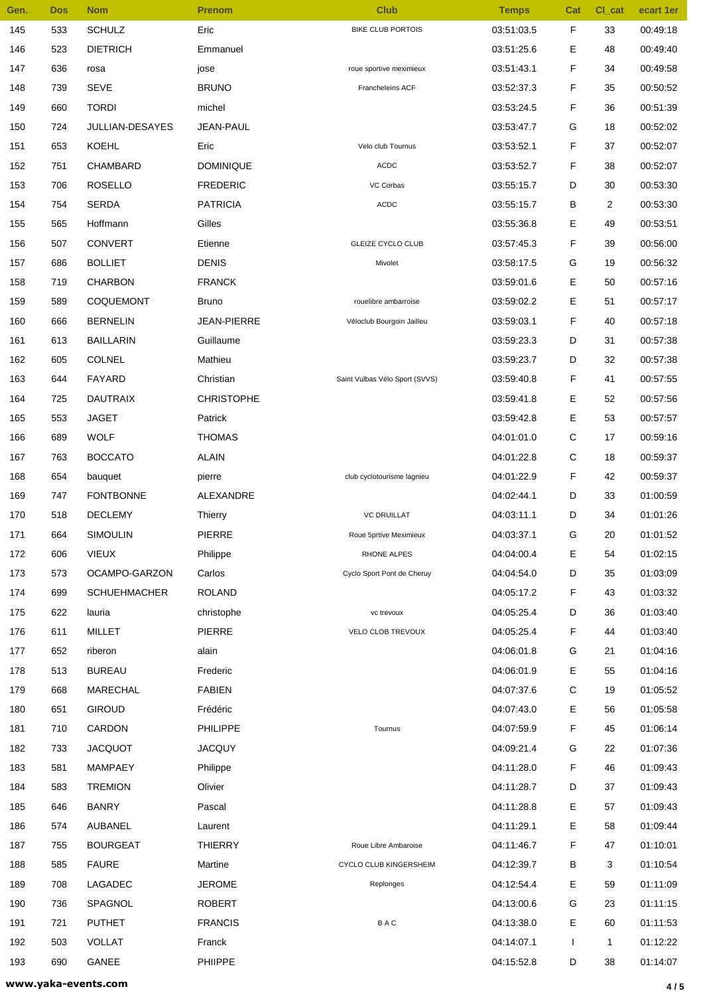| Gen. | <b>Dos</b> | <b>Nom</b>                  | <b>Prenom</b>       | <b>Club</b>                    | <b>Temps</b> | Cat          | CI_cat         | ecart 1er |
|------|------------|-----------------------------|---------------------|--------------------------------|--------------|--------------|----------------|-----------|
| 145  | 533        | <b>SCHULZ</b>               | Eric                | <b>BIKE CLUB PORTOIS</b>       | 03:51:03.5   | F            | 33             | 00:49:18  |
| 146  | 523        | <b>DIETRICH</b>             | Emmanuel            |                                | 03:51:25.6   | Е            | 48             | 00:49:40  |
| 147  | 636        | rosa                        | jose                | roue sportive meximieux        | 03:51:43.1   | F            | 34             | 00:49:58  |
| 148  | 739        | <b>SEVE</b>                 | <b>BRUNO</b>        | Francheleins ACF               | 03:52:37.3   | F            | 35             | 00:50:52  |
| 149  | 660        | <b>TORDI</b>                | michel              |                                | 03:53:24.5   | F            | 36             | 00:51:39  |
| 150  | 724        | JULLIAN-DESAYES             | <b>JEAN-PAUL</b>    |                                | 03.53.47.7   | G            | 18             | 00:52:02  |
| 151  | 653        | <b>KOEHL</b>                | Eric                | Velo club Tournus              | 03:53:52.1   | F            | 37             | 00:52:07  |
| 152  | 751        | <b>CHAMBARD</b>             | <b>DOMINIQUE</b>    | <b>ACDC</b>                    | 03:53:52.7   | F            | 38             | 00:52:07  |
| 153  | 706        | <b>ROSELLO</b>              | <b>FREDERIC</b>     | VC Corbas                      | 03:55:15.7   | D            | 30             | 00:53:30  |
| 154  | 754        | <b>SERDA</b>                | <b>PATRICIA</b>     | <b>ACDC</b>                    | 03.55.15.7   | в            | $\overline{2}$ | 00:53:30  |
| 155  | 565        | Hoffmann                    | Gilles              |                                | 03:55:36.8   | Е            | 49             | 00:53:51  |
| 156  | 507        | <b>CONVERT</b>              | Etienne             | <b>GLEIZE CYCLO CLUB</b>       | 03:57:45.3   | F            | 39             | 00:56:00  |
| 157  | 686        | <b>BOLLIET</b>              | <b>DENIS</b>        | Mivolet                        | 03:58:17.5   | G            | 19             | 00:56:32  |
| 158  | 719        | <b>CHARBON</b>              | <b>FRANCK</b>       |                                | 03:59:01.6   | Е            | 50             | 00:57:16  |
| 159  | 589        | COQUEMONT                   | <b>Bruno</b>        | rouelibre ambarroise           | 03:59:02.2   | Е            | 51             | 00:57:17  |
| 160  | 666        | <b>BERNELIN</b>             | <b>JEAN-PIERRE</b>  | Véloclub Bourgoin Jailleu      | 03:59:03.1   | F            | 40             | 00:57:18  |
| 161  | 613        | <b>BAILLARIN</b>            | Guillaume           |                                | 03:59:23.3   | D            | 31             | 00:57:38  |
| 162  | 605        | <b>COLNEL</b>               | Mathieu             |                                | 03:59:23.7   | D            | 32             | 00:57:38  |
| 163  | 644        | FAYARD                      | Christian           | Saint Vulbas Vélo Sport (SVVS) | 03:59:40.8   | F            | 41             | 00:57:55  |
| 164  | 725        | <b>DAUTRAIX</b>             | <b>CHRISTOPHE</b>   |                                | 03:59:41.8   | Ε            | 52             | 00:57:56  |
| 165  | 553        | <b>JAGET</b>                | Patrick             |                                | 03:59:42.8   | E            | 53             | 00:57:57  |
| 166  | 689        | <b>WOLF</b>                 | <b>THOMAS</b>       |                                | 04:01:01.0   | С            | 17             | 00:59:16  |
| 167  | 763        | <b>BOCCATO</b>              | <b>ALAIN</b>        |                                | 04:01:22.8   | С            | 18             | 00:59:37  |
| 168  | 654        |                             |                     |                                | 04:01:22.9   | F            | 42             | 00:59:37  |
| 169  |            | bauquet<br><b>FONTBONNE</b> | pierre<br>ALEXANDRE | club cyclotourisme lagnieu     | 04:02:44.1   | D            | 33             | 01:00:59  |
|      | 747        |                             |                     |                                |              |              |                |           |
| 170  | 518        | <b>DECLEMY</b>              | Thierry             | <b>VC DRUILLAT</b>             | 04:03:11.1   | D            | 34             | 01:01:26  |
| 171  | 664        | <b>SIMOULIN</b>             | <b>PIERRE</b>       | Roue 5prtive Meximieux         | 04:03:37.1   | G            | 20             | 01:01:52  |
| 172  | 606        | <b>VIEUX</b>                | Philippe            | RHONE ALPES                    | 04:04:00.4   | Е            | 54             | 01:02:15  |
| 173  | 573        | OCAMPO-GARZON               | Carlos              | Cyclo Sport Pont de Cheruy     | 04:04:54.0   | D            | 35             | 01:03:09  |
| 174  | 699        | <b>SCHUEHMACHER</b>         | <b>ROLAND</b>       |                                | 04:05:17.2   | F            | 43             | 01:03:32  |
| 175  | 622        | lauria                      | christophe          | vc trevoux                     | 04:05:25.4   | D            | 36             | 01:03:40  |
| 176  | 611        | MILLET                      | <b>PIERRE</b>       | VELO CLOB TREVOUX              | 04:05:25.4   | F            | 44             | 01:03:40  |
| 177  | 652        | riberon                     | alain               |                                | 04:06:01.8   | G            | 21             | 01:04:16  |
| 178  | 513        | <b>BUREAU</b>               | Frederic            |                                | 04:06:01.9   | E            | 55             | 01:04:16  |
| 179  | 668        | <b>MARECHAL</b>             | <b>FABIEN</b>       |                                | 04:07:37.6   | С            | 19             | 01:05:52  |
| 180  | 651        | <b>GIROUD</b>               | Frédéric            |                                | 04:07:43.0   | Е            | 56             | 01:05:58  |
| 181  | 710        | CARDON                      | PHILIPPE            | Tournus                        | 04:07:59.9   | F            | 45             | 01:06:14  |
| 182  | 733        | <b>JACQUOT</b>              | <b>JACQUY</b>       |                                | 04:09:21.4   | G            | 22             | 01:07:36  |
| 183  | 581        | <b>MAMPAEY</b>              | Philippe            |                                | 04:11:28.0   | F            | 46             | 01:09:43  |
| 184  | 583        | <b>TREMION</b>              | Olivier             |                                | 04:11:28.7   | D            | 37             | 01:09:43  |
| 185  | 646        | <b>BANRY</b>                | Pascal              |                                | 04:11:28.8   | Е            | 57             | 01:09:43  |
| 186  | 574        | AUBANEL                     | Laurent             |                                | 04:11:29.1   | E            | 58             | 01:09:44  |
| 187  | 755        | <b>BOURGEAT</b>             | <b>THIERRY</b>      | Roue Libre Ambaroise           | 04:11:46.7   | F            | 47             | 01:10:01  |
| 188  | 585        | <b>FAURE</b>                | Martine             | CYCLO CLUB KINGERSHEIM         | 04:12:39.7   | В            | 3              | 01:10:54  |
| 189  | 708        | LAGADEC                     | <b>JEROME</b>       | Replonges                      | 04:12:54.4   | Е            | 59             | 01:11:09  |
| 190  | 736        | SPAGNOL                     | <b>ROBERT</b>       |                                | 04:13:00.6   | G            | 23             | 01:11:15  |
| 191  | 721        | <b>PUTHET</b>               | <b>FRANCIS</b>      | BAC                            | 04:13:38.0   | Е            | 60             | 01:11:53  |
| 192  | 503        | <b>VOLLAT</b>               | Franck              |                                | 04:14:07.1   | $\mathbf{I}$ | 1              | 01:12:22  |
| 193  | 690        | GANEE                       | PHIIPPE             |                                | 04:15:52.8   | D            | 38             | 01:14:07  |

**www.yaka-events.com 4 / 5**